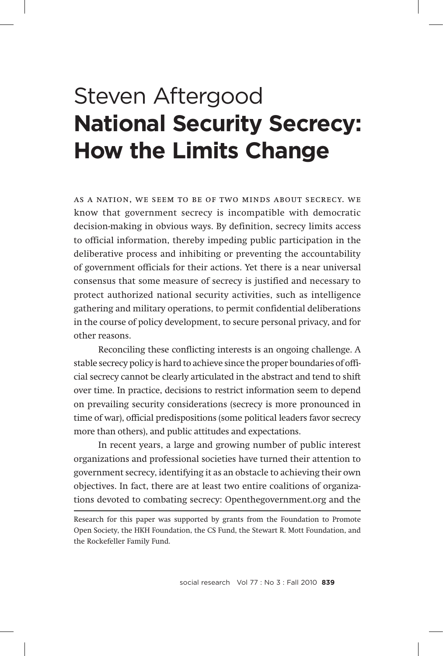# Steven Aftergood **National Security Secrecy: How the Limits Change**

as a nation, we seem to be of two minds about secrecy. we know that government secrecy is incompatible with democratic decision-making in obvious ways. By definition, secrecy limits access to official information, thereby impeding public participation in the deliberative process and inhibiting or preventing the accountability of government officials for their actions. Yet there is a near universal consensus that some measure of secrecy is justified and necessary to protect authorized national security activities, such as intelligence gathering and military operations, to permit confidential deliberations in the course of policy development, to secure personal privacy, and for other reasons.

Reconciling these conflicting interests is an ongoing challenge. A stable secrecy policy is hard to achieve since the proper boundaries of official secrecy cannot be clearly articulated in the abstract and tend to shift over time. In practice, decisions to restrict information seem to depend on prevailing security considerations (secrecy is more pronounced in time of war), official predispositions (some political leaders favor secrecy more than others), and public attitudes and expectations.

In recent years, a large and growing number of public interest organizations and professional societies have turned their attention to government secrecy, identifying it as an obstacle to achieving their own objectives. In fact, there are at least two entire coalitions of organizations devoted to combating secrecy: Openthegovernment.org and the

Research for this paper was supported by grants from the Foundation to Promote Open Society, the HKH Foundation, the CS Fund, the Stewart R. Mott Foundation, and the Rockefeller Family Fund.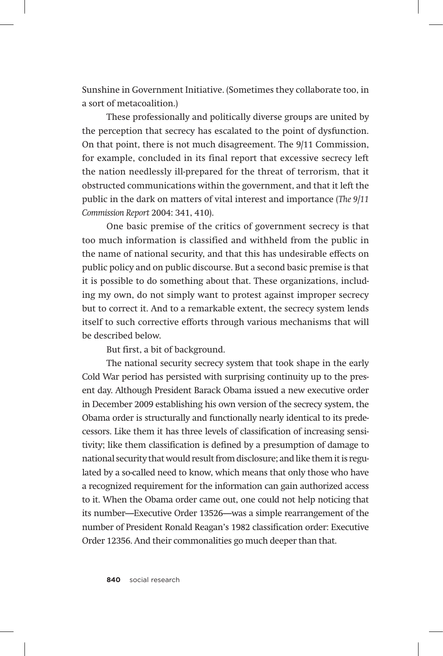Sunshine in Government Initiative. (Sometimes they collaborate too, in a sort of metacoalition.)

These professionally and politically diverse groups are united by the perception that secrecy has escalated to the point of dysfunction. On that point, there is not much disagreement. The 9/11 Commission, for example, concluded in its final report that excessive secrecy left the nation needlessly ill-prepared for the threat of terrorism, that it obstructed communications within the government, and that it left the public in the dark on matters of vital interest and importance (*The 9/11 Commission Report* 2004: 341, 410).

One basic premise of the critics of government secrecy is that too much information is classified and withheld from the public in the name of national security, and that this has undesirable effects on public policy and on public discourse. But a second basic premise is that it is possible to do something about that. These organizations, including my own, do not simply want to protest against improper secrecy but to correct it. And to a remarkable extent, the secrecy system lends itself to such corrective efforts through various mechanisms that will be described below.

But first, a bit of background.

The national security secrecy system that took shape in the early Cold War period has persisted with surprising continuity up to the present day. Although President Barack Obama issued a new executive order in December 2009 establishing his own version of the secrecy system, the Obama order is structurally and functionally nearly identical to its predecessors. Like them it has three levels of classification of increasing sensitivity; like them classification is defined by a presumption of damage to national security that would result from disclosure; and like them it is regulated by a so-called need to know, which means that only those who have a recognized requirement for the information can gain authorized access to it. When the Obama order came out, one could not help noticing that its number—Executive Order 13526—was a simple rearrangement of the number of President Ronald Reagan's 1982 classification order: Executive Order 12356. And their commonalities go much deeper than that.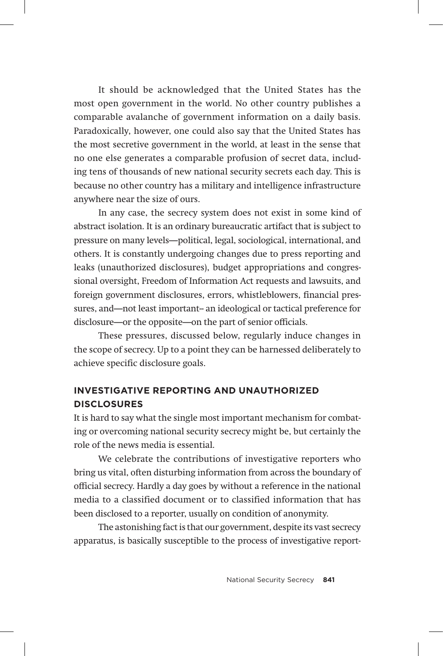It should be acknowledged that the United States has the most open government in the world. No other country publishes a comparable avalanche of government information on a daily basis. Paradoxically, however, one could also say that the United States has the most secretive government in the world, at least in the sense that no one else generates a comparable profusion of secret data, including tens of thousands of new national security secrets each day. This is because no other country has a military and intelligence infrastructure anywhere near the size of ours.

In any case, the secrecy system does not exist in some kind of abstract isolation. It is an ordinary bureaucratic artifact that is subject to pressure on many levels—political, legal, sociological, international, and others. It is constantly undergoing changes due to press reporting and leaks (unauthorized disclosures), budget appropriations and congressional oversight, Freedom of Information Act requests and lawsuits, and foreign government disclosures, errors, whistleblowers, financial pressures, and-not least important- an ideological or tactical preference for disclosure—or the opposite—on the part of senior officials.

These pressures, discussed below, regularly induce changes in the scope of secrecy. Up to a point they can be harnessed deliberately to achieve specific disclosure goals.

# **Investigative Reporting and Unauthorized Disclosures**

It is hard to say what the single most important mechanism for combating or overcoming national security secrecy might be, but certainly the role of the news media is essential.

We celebrate the contributions of investigative reporters who bring us vital, often disturbing information from across the boundary of official secrecy. Hardly a day goes by without a reference in the national media to a classified document or to classified information that has been disclosed to a reporter, usually on condition of anonymity.

The astonishing fact is that our government, despite its vast secrecy apparatus, is basically susceptible to the process of investigative report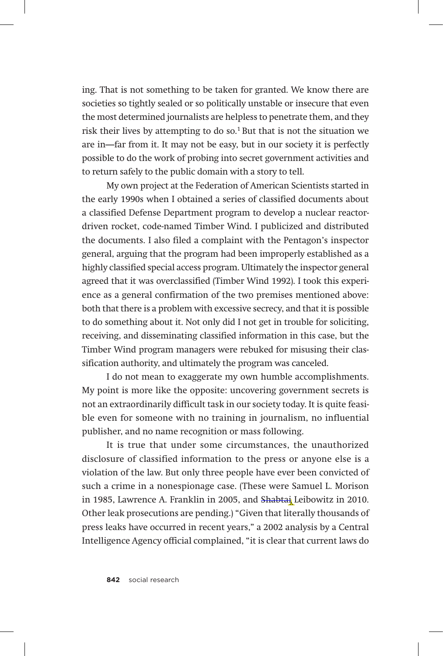ing. That is not something to be taken for granted. We know there are societies so tightly sealed or so politically unstable or insecure that even the most determined journalists are helpless to penetrate them, and they risk their lives by attempting to do so.<sup>1</sup> But that is not the situation we are in—far from it. It may not be easy, but in our society it is perfectly possible to do the work of probing into secret government activities and to return safely to the public domain with a story to tell.

My own project at the Federation of American Scientists started in the early 1990s when I obtained a series of classified documents about a classified Defense Department program to develop a nuclear reactordriven rocket, code-named Timber Wind. I publicized and distributed the documents. I also filed a complaint with the Pentagon's inspector general, arguing that the program had been improperly established as a highly classified special access program. Ultimately the inspector general agreed that it was overclassified (Timber Wind 1992). I took this experience as a general confirmation of the two premises mentioned above: both that there is a problem with excessive secrecy, and that it is possible to do something about it. Not only did I not get in trouble for soliciting, receiving, and disseminating classified information in this case, but the Timber Wind program managers were rebuked for misusing their classification authority, and ultimately the program was canceled.

I do not mean to exaggerate my own humble accomplishments. My point is more like the opposite: uncovering government secrets is not an extraordinarily difficult task in our society today. It is quite feasible even for someone with no training in journalism, no influential publisher, and no name recognition or mass following.

It is true that under some circumstances, the unauthorized disclosure of classified information to the press or anyone else is a violation of the law. But only three people have ever been convicted of such a crime in a nonespionage case. (These were Samuel L. Morison in 1985, Lawrence A. Franklin in 2005, and Shabtai Leibowitz in 2010. Other leak prosecutions are pending.) "Given that literally thousands of press leaks have occurred in recent years," a 2002 analysis by a Central Intelligence Agency official complained, "it is clear that current laws do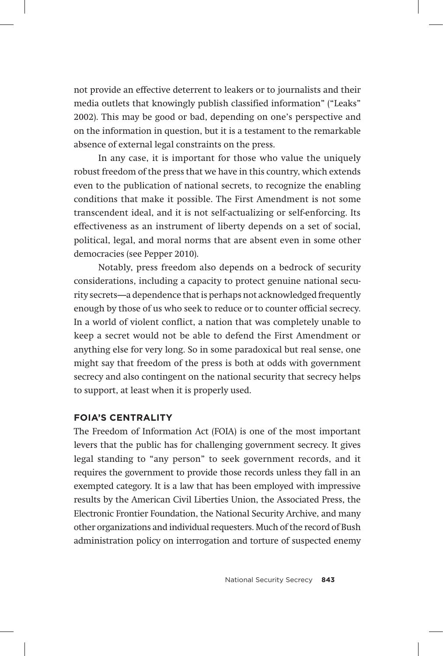not provide an effective deterrent to leakers or to journalists and their media outlets that knowingly publish classified information" ("Leaks" 2002). This may be good or bad, depending on one's perspective and on the information in question, but it is a testament to the remarkable absence of external legal constraints on the press.

In any case, it is important for those who value the uniquely robust freedom of the press that we have in this country, which extends even to the publication of national secrets, to recognize the enabling conditions that make it possible. The First Amendment is not some transcendent ideal, and it is not self-actualizing or self-enforcing. Its effectiveness as an instrument of liberty depends on a set of social, political, legal, and moral norms that are absent even in some other democracies (see Pepper 2010).

Notably, press freedom also depends on a bedrock of security considerations, including a capacity to protect genuine national security secrets—a dependence that is perhaps not acknowledged frequently enough by those of us who seek to reduce or to counter official secrecy. In a world of violent conflict, a nation that was completely unable to keep a secret would not be able to defend the First Amendment or anything else for very long. So in some paradoxical but real sense, one might say that freedom of the press is both at odds with government secrecy and also contingent on the national security that secrecy helps to support, at least when it is properly used.

## **FOIA's centrality**

The Freedom of Information Act (FOIA) is one of the most important levers that the public has for challenging government secrecy. It gives legal standing to "any person" to seek government records, and it requires the government to provide those records unless they fall in an exempted category. It is a law that has been employed with impressive results by the American Civil Liberties Union, the Associated Press, the Electronic Frontier Foundation, the National Security Archive, and many other organizations and individual requesters. Much of the record of Bush administration policy on interrogation and torture of suspected enemy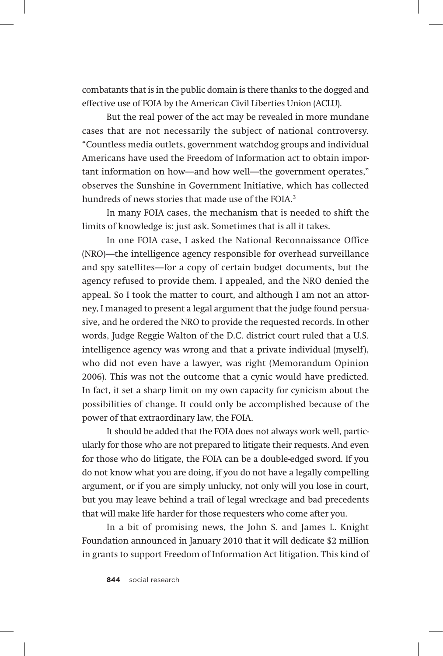combatants that is in the public domain is there thanks to the dogged and effective use of FOIA by the American Civil Liberties Union (ACLU).

But the real power of the act may be revealed in more mundane cases that are not necessarily the subject of national controversy. "Countless media outlets, government watchdog groups and individual Americans have used the Freedom of Information act to obtain important information on how—and how well—the government operates," observes the Sunshine in Government Initiative, which has collected hundreds of news stories that made use of the FOIA.3

In many FOIA cases, the mechanism that is needed to shift the limits of knowledge is: just ask. Sometimes that is all it takes.

In one FOIA case, I asked the National Reconnaissance Office (NRO)—the intelligence agency responsible for overhead surveillance and spy satellites—for a copy of certain budget documents, but the agency refused to provide them. I appealed, and the NRO denied the appeal. So I took the matter to court, and although I am not an attorney, I managed to present a legal argument that the judge found persuasive, and he ordered the NRO to provide the requested records. In other words, Judge Reggie Walton of the D.C. district court ruled that a U.S. intelligence agency was wrong and that a private individual (myself), who did not even have a lawyer, was right (Memorandum Opinion 2006). This was not the outcome that a cynic would have predicted. In fact, it set a sharp limit on my own capacity for cynicism about the possibilities of change. It could only be accomplished because of the power of that extraordinary law, the FOIA.

It should be added that the FOIA does not always work well, particularly for those who are not prepared to litigate their requests. And even for those who do litigate, the FOIA can be a double-edged sword. If you do not know what you are doing, if you do not have a legally compelling argument, or if you are simply unlucky, not only will you lose in court, but you may leave behind a trail of legal wreckage and bad precedents that will make life harder for those requesters who come after you.

In a bit of promising news, the John S. and James L. Knight Foundation announced in January 2010 that it will dedicate \$2 million in grants to support Freedom of Information Act litigation. This kind of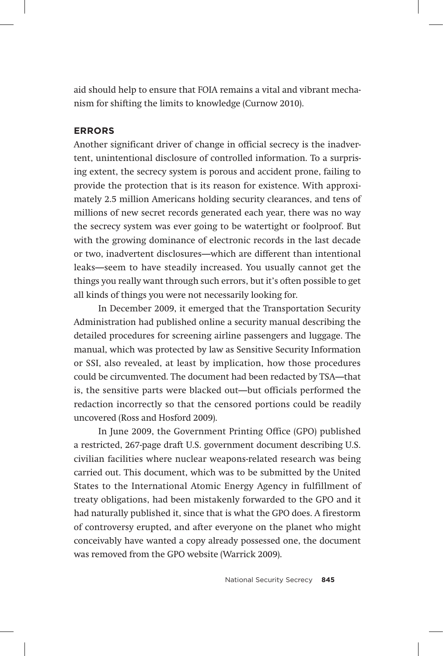aid should help to ensure that FOIA remains a vital and vibrant mechanism for shifting the limits to knowledge (Curnow 2010).

## **Errors**

Another significant driver of change in official secrecy is the inadvertent, unintentional disclosure of controlled information. To a surprising extent, the secrecy system is porous and accident prone, failing to provide the protection that is its reason for existence. With approximately 2.5 million Americans holding security clearances, and tens of millions of new secret records generated each year, there was no way the secrecy system was ever going to be watertight or foolproof. But with the growing dominance of electronic records in the last decade or two, inadvertent disclosures—which are different than intentional leaks—seem to have steadily increased. You usually cannot get the things you really want through such errors, but it's often possible to get all kinds of things you were not necessarily looking for.

In December 2009, it emerged that the Transportation Security Administration had published online a security manual describing the detailed procedures for screening airline passengers and luggage. The manual, which was protected by law as Sensitive Security Information or SSI, also revealed, at least by implication, how those procedures could be circumvented. The document had been redacted by TSA—that is, the sensitive parts were blacked out—but officials performed the redaction incorrectly so that the censored portions could be readily uncovered (Ross and Hosford 2009).

In June 2009, the Government Printing Office (GPO) published a restricted, 267-page draft U.S. government document describing U.S. civilian facilities where nuclear weapons-related research was being carried out. This document, which was to be submitted by the United States to the International Atomic Energy Agency in fulfillment of treaty obligations, had been mistakenly forwarded to the GPO and it had naturally published it, since that is what the GPO does. A firestorm of controversy erupted, and after everyone on the planet who might conceivably have wanted a copy already possessed one, the document was removed from the GPO website (Warrick 2009).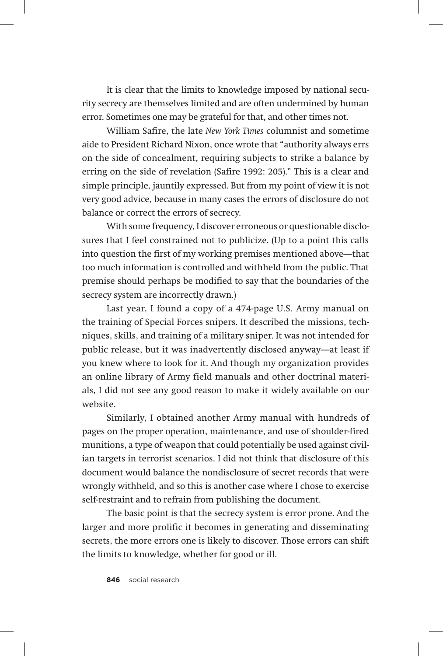It is clear that the limits to knowledge imposed by national security secrecy are themselves limited and are often undermined by human error. Sometimes one may be grateful for that, and other times not.

William Safire, the late *New York Times* columnist and sometime aide to President Richard Nixon, once wrote that "authority always errs on the side of concealment, requiring subjects to strike a balance by erring on the side of revelation (Safire 1992: 205)." This is a clear and simple principle, jauntily expressed. But from my point of view it is not very good advice, because in many cases the errors of disclosure do not balance or correct the errors of secrecy.

With some frequency, I discover erroneous or questionable disclosures that I feel constrained not to publicize. (Up to a point this calls into question the first of my working premises mentioned above—that too much information is controlled and withheld from the public. That premise should perhaps be modified to say that the boundaries of the secrecy system are incorrectly drawn.)

Last year, I found a copy of a 474-page U.S. Army manual on the training of Special Forces snipers. It described the missions, techniques, skills, and training of a military sniper. It was not intended for public release, but it was inadvertently disclosed anyway—at least if you knew where to look for it. And though my organization provides an online library of Army field manuals and other doctrinal materials, I did not see any good reason to make it widely available on our website.

Similarly, I obtained another Army manual with hundreds of pages on the proper operation, maintenance, and use of shoulder-fired munitions, a type of weapon that could potentially be used against civilian targets in terrorist scenarios. I did not think that disclosure of this document would balance the nondisclosure of secret records that were wrongly withheld, and so this is another case where I chose to exercise self-restraint and to refrain from publishing the document.

The basic point is that the secrecy system is error prone. And the larger and more prolific it becomes in generating and disseminating secrets, the more errors one is likely to discover. Those errors can shift the limits to knowledge, whether for good or ill.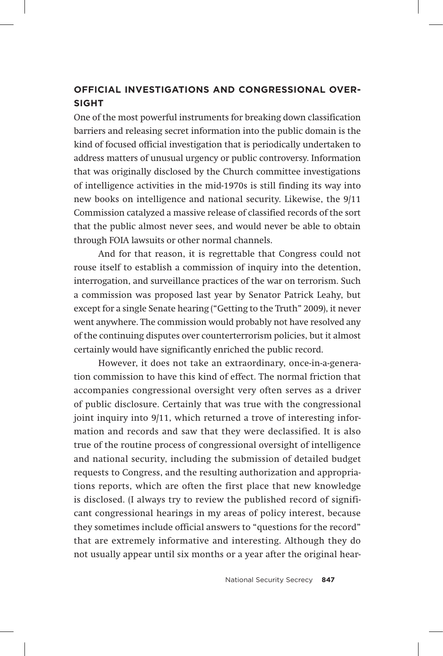# **Official investigations and Congressional oversight**

One of the most powerful instruments for breaking down classification barriers and releasing secret information into the public domain is the kind of focused official investigation that is periodically undertaken to address matters of unusual urgency or public controversy. Information that was originally disclosed by the Church committee investigations of intelligence activities in the mid-1970s is still finding its way into new books on intelligence and national security. Likewise, the 9/11 Commission catalyzed a massive release of classified records of the sort that the public almost never sees, and would never be able to obtain through FOIA lawsuits or other normal channels.

And for that reason, it is regrettable that Congress could not rouse itself to establish a commission of inquiry into the detention, interrogation, and surveillance practices of the war on terrorism. Such a commission was proposed last year by Senator Patrick Leahy, but except for a single Senate hearing ("Getting to the Truth" 2009), it never went anywhere. The commission would probably not have resolved any of the continuing disputes over counterterrorism policies, but it almost certainly would have significantly enriched the public record.

However, it does not take an extraordinary, once-in-a-generation commission to have this kind of effect. The normal friction that accompanies congressional oversight very often serves as a driver of public disclosure. Certainly that was true with the congressional joint inquiry into 9/11, which returned a trove of interesting information and records and saw that they were declassified. It is also true of the routine process of congressional oversight of intelligence and national security, including the submission of detailed budget requests to Congress, and the resulting authorization and appropriations reports, which are often the first place that new knowledge is disclosed. (I always try to review the published record of significant congressional hearings in my areas of policy interest, because they sometimes include official answers to "questions for the record" that are extremely informative and interesting. Although they do not usually appear until six months or a year after the original hear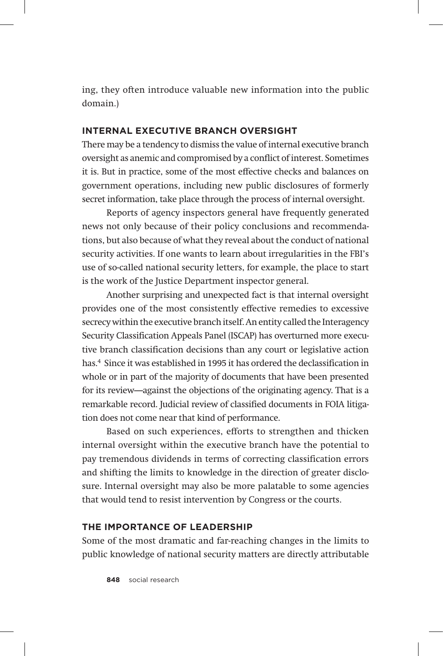ing, they often introduce valuable new information into the public domain.)

## **Internal executive branch oversight**

There may be a tendency to dismiss the value of internal executive branch oversight as anemic and compromised by a conflict of interest. Sometimes it is. But in practice, some of the most effective checks and balances on government operations, including new public disclosures of formerly secret information, take place through the process of internal oversight.

Reports of agency inspectors general have frequently generated news not only because of their policy conclusions and recommendations, but also because of what they reveal about the conduct of national security activities. If one wants to learn about irregularities in the FBI's use of so-called national security letters, for example, the place to start is the work of the Justice Department inspector general.

Another surprising and unexpected fact is that internal oversight provides one of the most consistently effective remedies to excessive secrecy within the executive branch itself. An entity called the Interagency Security Classification Appeals Panel (ISCAP) has overturned more executive branch classification decisions than any court or legislative action has.<sup>4</sup> Since it was established in 1995 it has ordered the declassification in whole or in part of the majority of documents that have been presented for its review—against the objections of the originating agency. That is a remarkable record. Judicial review of classified documents in FOIA litigation does not come near that kind of performance.

Based on such experiences, efforts to strengthen and thicken internal oversight within the executive branch have the potential to pay tremendous dividends in terms of correcting classification errors and shifting the limits to knowledge in the direction of greater disclosure. Internal oversight may also be more palatable to some agencies that would tend to resist intervention by Congress or the courts.

## **The importance of leadership**

Some of the most dramatic and far-reaching changes in the limits to public knowledge of national security matters are directly attributable

**848** social research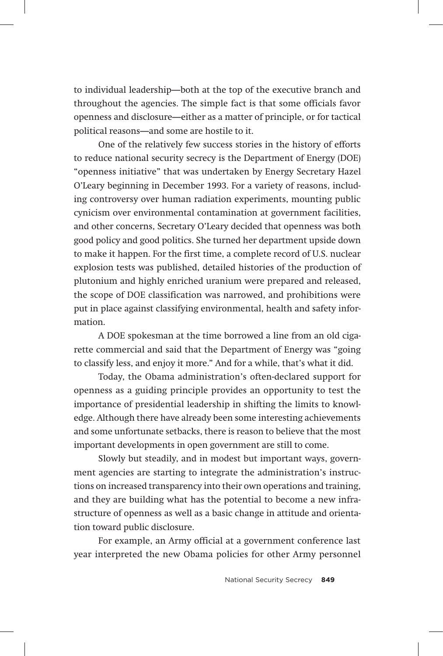to individual leadership—both at the top of the executive branch and throughout the agencies. The simple fact is that some officials favor openness and disclosure—either as a matter of principle, or for tactical political reasons—and some are hostile to it.

One of the relatively few success stories in the history of efforts to reduce national security secrecy is the Department of Energy (DOE) "openness initiative" that was undertaken by Energy Secretary Hazel O'Leary beginning in December 1993. For a variety of reasons, including controversy over human radiation experiments, mounting public cynicism over environmental contamination at government facilities, and other concerns, Secretary O'Leary decided that openness was both good policy and good politics. She turned her department upside down to make it happen. For the first time, a complete record of U.S. nuclear explosion tests was published, detailed histories of the production of plutonium and highly enriched uranium were prepared and released, the scope of DOE classification was narrowed, and prohibitions were put in place against classifying environmental, health and safety information.

A DOE spokesman at the time borrowed a line from an old cigarette commercial and said that the Department of Energy was "going to classify less, and enjoy it more." And for a while, that's what it did.

Today, the Obama administration's often-declared support for openness as a guiding principle provides an opportunity to test the importance of presidential leadership in shifting the limits to knowledge. Although there have already been some interesting achievements and some unfortunate setbacks, there is reason to believe that the most important developments in open government are still to come.

Slowly but steadily, and in modest but important ways, government agencies are starting to integrate the administration's instructions on increased transparency into their own operations and training, and they are building what has the potential to become a new infrastructure of openness as well as a basic change in attitude and orientation toward public disclosure.

For example, an Army official at a government conference last year interpreted the new Obama policies for other Army personnel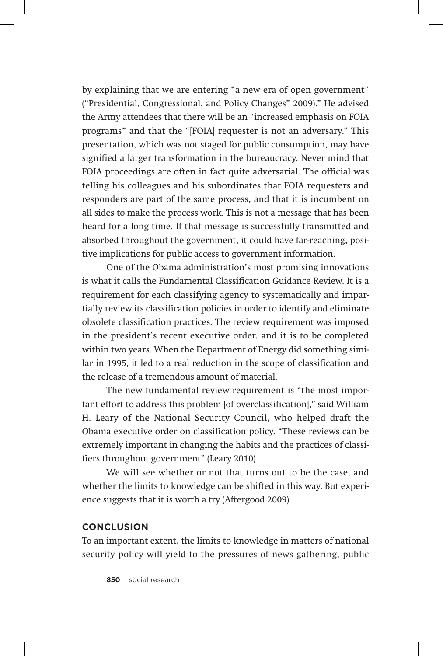by explaining that we are entering "a new era of open government" ("Presidential, Congressional, and Policy Changes" 2009)." He advised the Army attendees that there will be an "increased emphasis on FOIA programs" and that the "[FOIA] requester is not an adversary." This presentation, which was not staged for public consumption, may have signified a larger transformation in the bureaucracy. Never mind that FOIA proceedings are often in fact quite adversarial. The official was telling his colleagues and his subordinates that FOIA requesters and responders are part of the same process, and that it is incumbent on all sides to make the process work. This is not a message that has been heard for a long time. If that message is successfully transmitted and absorbed throughout the government, it could have far-reaching, positive implications for public access to government information.

One of the Obama administration's most promising innovations is what it calls the Fundamental Classification Guidance Review. It is a requirement for each classifying agency to systematically and impartially review its classification policies in order to identify and eliminate obsolete classification practices. The review requirement was imposed in the president's recent executive order, and it is to be completed within two years. When the Department of Energy did something similar in 1995, it led to a real reduction in the scope of classification and the release of a tremendous amount of material.

The new fundamental review requirement is "the most important effort to address this problem [of overclassification]," said William H. Leary of the National Security Council, who helped draft the Obama executive order on classification policy. "These reviews can be extremely important in changing the habits and the practices of classifiers throughout government" (Leary 2010).

We will see whether or not that turns out to be the case, and whether the limits to knowledge can be shifted in this way. But experience suggests that it is worth a try (Aftergood 2009).

#### **Conclusion**

To an important extent, the limits to knowledge in matters of national security policy will yield to the pressures of news gathering, public

**850** social research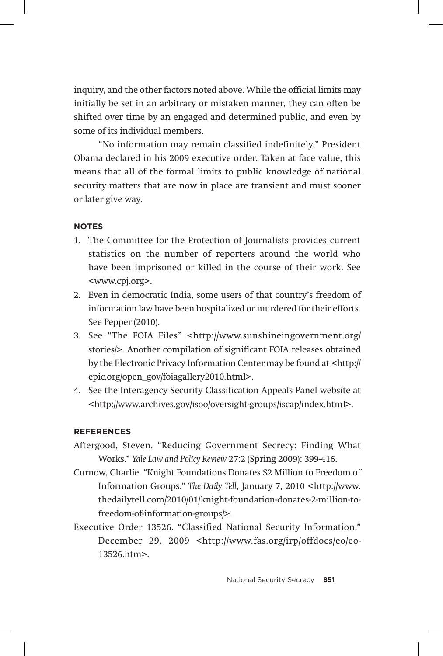inquiry, and the other factors noted above. While the official limits may initially be set in an arbitrary or mistaken manner, they can often be shifted over time by an engaged and determined public, and even by some of its individual members.

"No information may remain classified indefinitely," President Obama declared in his 2009 executive order. Taken at face value, this means that all of the formal limits to public knowledge of national security matters that are now in place are transient and must sooner or later give way.

#### **notes**

- 1. The Committee for the Protection of Journalists provides current statistics on the number of reporters around the world who have been imprisoned or killed in the course of their work. See <www.cpj.org>.
- 2. Even in democratic India, some users of that country's freedom of information law have been hospitalized or murdered for their efforts. See Pepper (2010).
- 3. See "The FOIA Files" <http://www.sunshineingovernment.org/ stories/>. Another compilation of significant FOIA releases obtained by the Electronic Privacy Information Center may be found at <http:// epic.org/open\_gov/foiagallery2010.html>.
- 4. See the Interagency Security Classification Appeals Panel website at <http://www.archives.gov/isoo/oversight-groups/iscap/index.html>.

#### **references**

- Aftergood, Steven. "Reducing Government Secrecy: Finding What Works." *Yale Law and Policy Review* 27:2 (Spring 2009): 399-416.
- Curnow, Charlie. "Knight Foundations Donates \$2 Million to Freedom of Information Groups." *The Daily Tell*, January 7, 2010 <http://www. thedailytell.com/2010/01/knight-foundation-donates-2-million-tofreedom-of-information-groups/>.
- Executive Order 13526. "Classified National Security Information." December 29, 2009 <http://www.fas.org/irp/offdocs/eo/eo-13526.htm>.